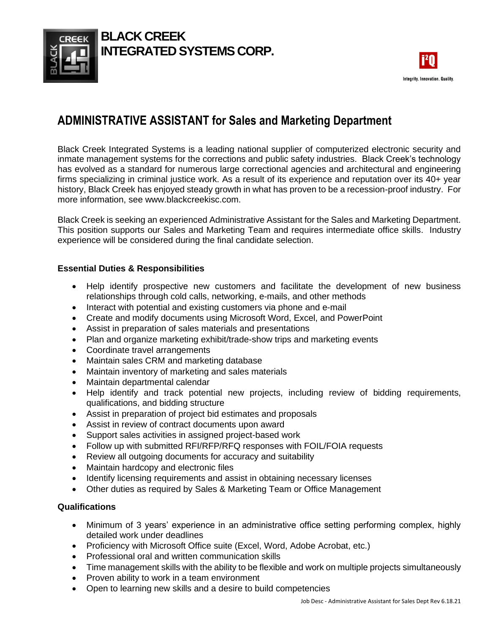

## **BLACK CREEK INTEGRATED SYSTEMS CORP.**



# **ADMINISTRATIVE ASSISTANT for Sales and Marketing Department**

Black Creek Integrated Systems is a leading national supplier of computerized electronic security and inmate management systems for the corrections and public safety industries. Black Creek's technology has evolved as a standard for numerous large correctional agencies and architectural and engineering firms specializing in criminal justice work. As a result of its experience and reputation over its 40+ year history, Black Creek has enjoyed steady growth in what has proven to be a recession-proof industry. For more information, see www.blackcreekisc.com.

Black Creek is seeking an experienced Administrative Assistant for the Sales and Marketing Department. This position supports our Sales and Marketing Team and requires intermediate office skills. Industry experience will be considered during the final candidate selection.

### **Essential Duties & Responsibilities**

- Help identify prospective new customers and facilitate the development of new business relationships through cold calls, networking, e-mails, and other methods
- Interact with potential and existing customers via phone and e-mail
- Create and modify documents using Microsoft Word, Excel, and PowerPoint
- Assist in preparation of sales materials and presentations
- Plan and organize marketing exhibit/trade-show trips and marketing events
- Coordinate travel arrangements
- Maintain sales CRM and marketing database
- Maintain inventory of marketing and sales materials
- Maintain departmental calendar
- Help identify and track potential new projects, including review of bidding requirements, qualifications, and bidding structure
- Assist in preparation of project bid estimates and proposals
- Assist in review of contract documents upon award
- Support sales activities in assigned project-based work
- Follow up with submitted RFI/RFP/RFQ responses with FOIL/FOIA requests
- Review all outgoing documents for accuracy and suitability
- Maintain hardcopy and electronic files
- Identify licensing requirements and assist in obtaining necessary licenses
- Other duties as required by Sales & Marketing Team or Office Management

#### **Qualifications**

- Minimum of 3 years' experience in an administrative office setting performing complex, highly detailed work under deadlines
- Proficiency with Microsoft Office suite (Excel, Word, Adobe Acrobat, etc.)
- Professional oral and written communication skills
- Time management skills with the ability to be flexible and work on multiple projects simultaneously
- Proven ability to work in a team environment
- Open to learning new skills and a desire to build competencies